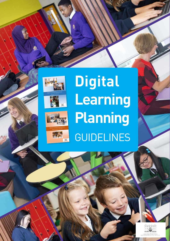



# **Digital Learning Planning**  GUIDELINES

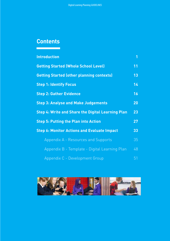# **Contents**

| <b>Introduction</b>                                      | $\overline{1}$ |
|----------------------------------------------------------|----------------|
| <b>Getting Started (Whole School Level)</b>              | 11             |
| <b>Getting Started (other planning contexts)</b>         | 13             |
| <b>Step 1: Identify Focus</b>                            | 14             |
| <b>Step 2: Gather Evidence</b>                           | 16             |
| <b>Step 3: Analyse and Make Judgements</b>               | 20             |
| <b>Step 4: Write and Share the Digital Learning Plan</b> | 23             |
| <b>Step 5: Putting the Plan into Action</b>              | 27             |
| <b>Step 6: Monitor Actions and Evaluate Impact</b>       | 33             |
| Appendix A - Resources and Supports                      | 35             |
| Appendix B - Template - Digital Learning Plan            | 48             |
| Appendix C - Development Group                           | 51             |

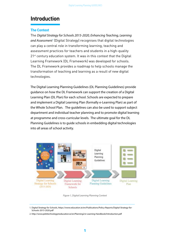# **Introduction**

## **The Context**

The *Digital Strategy for Schools 2015-2020, Enhancing Teaching, Learning and Assessment*<sup>1</sup> (Digital Strategy) recognises that digital technologies can play a central role in transforming learning, teaching and assessment practices for teachers and students in a high-quality 21<sup>st</sup> century education system. It was in this context that the Digital Learning Framework (DL Framework) was developed for schools. The DL Framework provides a roadmap to help schools manage the transformation of teaching and learning as a result of new digital technologies.

The Digital Learning Planning Guidelines (DL Planning Guidelines) provide guidance on how the DL Framework can support the creation of a Digital Learning Plan (DL Plan) for each school. Schools are expected to prepare and implement a Digital Learning Plan (formally e-Learning Plan) as part of the Whole School Plan. The guidelines can also be used to support subject department and individual teacher planning and to promote digital learning at programme and cross-curricular levels. The ultimate goal for the DL Planning Guidelines is to guide schools in embedding digital technologies into all areas of school activity.



*Figure 1, Digital Learning Planning Context*

<sup>1.</sup> Digital Strategy for Schools, https://www.education.ie/en/Publications/Policy-Reports/Digital-Strategy-for-Schools-2015-2020.pdf

<sup>2.</sup> http://www.pdsttechnologyineducation.ie/en/Planning2/e-Learning-Handbook/Introduction.pdf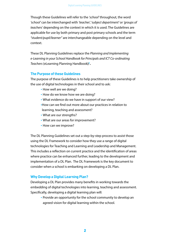Though these Guidelines will refer to the *'school'* throughout, the word *'school'* can be interchanged with *'teacher', 'subject department'* or *'groups of teachers'* depending on the context in which it is used. The Guidelines are applicable for use by both primary and post primary schools and the term *"student/pupil/learner"* are interchangeable depending on the level and context.

These DL Planning Guidelines replace the *Planning and Implementing e-Learning in your School Handbook for Principals and ICT Co-ordinating Teachers* (eLearning Planning Handbook**) 2 .** 

## **The Purpose of these Guidelines**

The purpose of these Guidelines is to help practitioners take ownership of the use of digital technologies in their school and to ask:

- How well are we doing?
- How do we know how we are doing?
- What evidence do we have in support of our view?
- •How can we find out more about our practices in relation to learning, teaching and assessment?
- What are our strengths?
- What are our areas for improvement?
- How can we improve?

The DL Planning Guidelines set out a step-by-step process to assist those using the DL Framework to consider how they use a range of digital technologies for Teaching and Learning and Leadership and Management. This includes a reflection on current practice and the identification of areas where practice can be enhanced further, leading to the development and implementation of a DL Plan. The DL Framework is the key document to consider when a school is embarking on developing a DL Plan.

## **Why Develop a Digital Learning Plan?**

Developing a DL Plan provides many benefits in working towards the embedding of digital technologies into learning, teaching and assessment. Specifically, developing a digital learning plan will:

• Provide an opportunity for the school community to develop an agreed vision for digital learning within the school.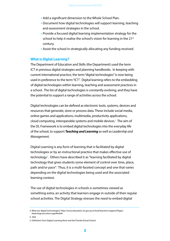- Add a significant dimension to the Whole School Plan.
- Document how digital technologies will support learning, teaching and assessment strategies in the school.
- Provide a focused digital learning implementation strategy for the school to help it realise the school's vision for learning in the 21<sup>st</sup> century.
- Assist the school in strategically allocating any funding received.

### **What is Digital Learning?**

The Department of Education and Skills (the Department) used the term ICT in previous digital strategies and planning handbooks. In keeping with current international practice, the term "digital technologies" is now being used in preference to the term "ICT". Digital learning refers to the embedding of digital technologies within learning, teaching and assessment practices in a school. The list of digital technologies is constantly evolving, and they have the potential to support a range of activities across the school.

Digital technologies can be defined as electronic tools, systems, devices and resources that generate, store or process data. These include social media, online games and applications, multimedia, productivity applications, cloud computing, interoperable systems and mobile devices.<sup>3</sup> The aim of the DL Framework is to embed digital technologies into the everyday life of the school, to support *Teaching and Learning* as well as *Leadership and Management.*

Digital Learning is any form of learning that is facilitated by digital technologies or by an instructional practice that makes effective use of technology<sup>4</sup>. Others have described it as "learning facilitated by digital technology that gives students some element of control over time, place, path and/or pace".<sup>5</sup> Thus, it is a multi-faceted concept and one that varies depending on the digital technologies being used and the associated learning context.

The use of digital technologies in schools is sometimes viewed as something extra, an activity that learners engage in outside of their regular school activities. The Digital Strategy stresses the need to embed digital

4. Ibid

<sup>3.</sup> What are digital technologies? http://www.education.vic.gov.au/school/teachers/support/Pages/ elearningcurriculum.aspx#link44

<sup>5.</sup> Definition from Digital Learning Now! and the Florida Virtual School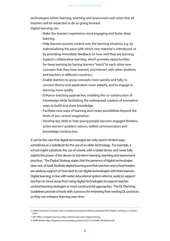technologies within learning, teaching and assessment and notes that all teachers will be expected to do so going forward. Digital learning can:

- Make the learners' experience more engaging and foster deep learning
- Help learners assume control over the learning situation, e.g. by individualising the pace with which new material is introduced, or by providing immediate feedback on how well they are learning
- Support collaborative learning, which provides opportunities for deep learning by having learners "teach" to each other new concepts that they have learned, and interact with other students and teachers in different countries<sup>6</sup>;
- Enable learners to grasp concepts more quickly and fully, to connect theory and application more adeptly, and to engage in learning more readily
- Enhance teaching approaches, enabling the co-construction of knowledge while facilitating the widespread creation of innovative ways to build and share knowledge
- Facilitate new ways of learning and create possibilities beyond the limits of our current imagination.<sup>7</sup>
- Develop key skills to help young people become engaged thinkers, active learners' problem solvers, skilled communicators and knowledge constructors.

It can be the case that digital technologies are only used in limited ways, sometimes as a substitute for the use of an older technology. For example, a school might substitute the use of a book, with a tablet device and never fully exploit the power of the device to transform learning, teaching and assessment practices.<sup>8</sup> The Digital Strategy states that the presence of digital technologies does not, of itself, facilitate digital learning and that teachers and school leaders are seeking support on how best to use digital technologies with their learners. Digital learning, in line with wider educational system reforms, seeks to support teachers to move away from using digital technologies to support teachercentred learning strategies to more constructivist approaches. The DL Planning Guidelines provide schools with a process for reviewing their existing DL practices, so they can enhance learning over time.

<sup>6.</sup> Digital Learning in Schools, http://oecdobserver.org/news/fullstory.php/aid/4655/Digital\_learning\_in\_schools. html

<sup>7.</sup> MIT Office of Digital Learning, https://odl.mit.edu/value-digital-learning

<sup>8.</sup> SAMR Model, http://hippasus.com/rrpweblog/archives/2015/10/SAMR\_ABriefIntro.pdf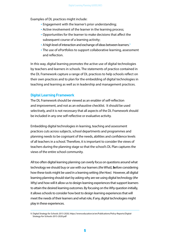Examples of DL practices might include:

- Engagement with the learner's prior understanding;
- Active involvement of the learner in the learning process;
- Opportunities for the learner to make decisions that affect the subsequent course of a learning activity;
- A high level of interaction and exchange of ideas between learners.<sup>9</sup>
- The use of ePortfolios to support collaborative learning, assessment and reflection.

In this way, digital learning promotes the active use of digital technologies by teachers and learners in schools. The statements of practice contained in the DL Framework capture a range of DL practices to help schools reflect on their own practices and to plan for the embedding of digital technologies in teaching and learning as well as in leadership and management practices.

## **Digital Learning Framework**

The DL Framework should be viewed as an enabler of self-reflection and improvement, and not as an exhaustive checklist. It should be used selectively, and it is not necessary that all aspects of the DL Framework should be included in any one self-reflective or evaluative activity.

Embedding digital technologies in learning, teaching and assessment practices cuts across subjects, school departments and programmes and planning needs to be cognisant of the needs, abilities and confidence levels of all teachers in a school. Therefore, it is important to consider the views of teachers during the planning stage so that the school's DL Plan captures the views of the entire school community.

All too often digital learning planning can overly focus on questions around what technology we should buy or use with our learners*(the What),* **b**efore considering how these tools might be used in a learning setting *(the How).*However, all digital learning planning should start by asking why are we using digital technology *(the Why)* and how will it allow us to design learning experiences that support learners to attain the desired learning outcomes. By focusing on the *Why* question initially, it allows schools to consider how best to design learning experiences that will meet the needs of their learners and what role, if any, digital technologies might play in these experiences.

<sup>9.</sup> Digital Strategy for Schools 2015-2020, https://www.education.ie/en/Publications/Policy-Reports/Digital-Strategy-for-Schools-2015-2020.pdf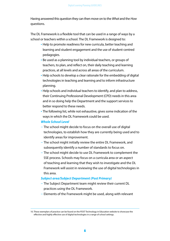Having answered this question they can then move on to the *What* and the *How* questions.

The DL Framework is a flexible tool that can be used in a range of ways by a school or teachers within a school. The DL Framework is designed to:

- Help to promote readiness for new curricula, better teaching and learning and student engagement and the use of student-centred pedagogies.
- Be used as a planning tool by individual teachers, or groups of teachers, to plan, and reflect on, their daily teaching and learning practices, at all levels and across all areas of the curriculum.
- Help schools to develop a clear rationale for the embedding of digital technologies in teaching and learning and to inform infrastructure planning.
- Help schools and individual teachers to identify, and plan to address, their Continuing Professional Development (CPD) needs in this area and in so doing help the Department and the support services to better respond to these needs.
- The following list, while not exhaustive, gives some indication of the ways in which the DL Framework could be used.

## *Whole School Level*

- The school might decide to focus on the overall use of digital technologies, to establish how they are currently being used and to identify areas for improvement.
- The school might initially review the entire DL Framework, and subsequently identify a number of standards to focus on.
- The school might decide to use DL Framework to complement the SSE process. Schools may focus on a curricula area or an aspect of teaching and learning that they wish to investigate and the DL Framework will assist in reviewing the use of digital technologies in this area.

## *Subject area/Subject Department (Post Primary)*

- The Subject Department team might review their current DL practices using the DL Framework.
- Elements of the Framework might be used, along with relevant

<sup>10.</sup> These exemplars of practice can be found on the PDST Technology in Education website to showcase the effective and highly effective use of digital technologies in a range of school settings.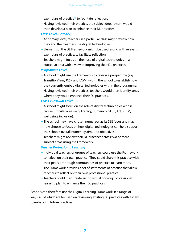exemplars of practice<sup>10</sup> to facilitate reflection.

– Having reviewed their practice, the subject department would then develop a plan to enhance their DL practices.

### *Class Level (Primary)*

- At primary level, teachers in a particular class might review how they and their learners use digital technologies.
- Elements of the DL Framework might be used, along with relevant exemplars of practice, to facilitate reflection.
- Teachers might focus on their use of digital technologies in a curricular area with a view to improving their DL practices.

#### *Programme Level*

- A school might use the Framework to review a programme (e.g. Transition Year, JCSP and LCVP) within the school to establish how they currently embed digital technologies within the programme.
- Having reviewed their practices, teachers would then identify areas where they would enhance their DL practices.

#### *Cross-curricular Level*

- A school might focus on the role of digital technologies within cross-curricular areas (e.g. literacy, numeracy, SESE, Art, STEM, wellbeing, inclusion).
- The school may have chosen numeracy as its SSE focus and may now choose to focus on how digital technologies can help support the school's overall numeracy aims and objectives.
- Teachers might review their DL practices across two or more subject areas using the Framework.

#### *Teacher Professional Learning*

- Individual teachers or groups of teachers could use the Framework to reflect on their own practice. They could share this practice with their peers or through communities of practice to learn more.
- The Framework provides a set of statements of practice that allow teachers to reflect on their own professional practice.
- Teachers could then create an individual or group professional learning plan to enhance their DL practices.

Schools can therefore use the Digital Learning Framework in a range of ways, all of which are focused on reviewing existing DL practices with a view to enhancing future practices.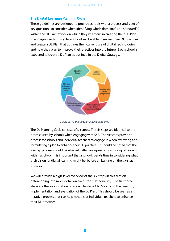## **The Digital Learning Planning Cycle**

These guidelines are designed to provide schools with a process and a set of key questions to consider when identifying which domain(s) and standard(s) within the DL Framework on which they will focus in creating their DL Plan. In engaging with this cycle, a school will be able to review their DL practices and create a DL Plan that outlines their current use of digital technologies and how they plan to improve their practices into the future. Each school is expected to create a DL Plan as outlined in the Digital Strategy.



*Figure 2: The Digital Learning Planning Cycle*

The DL Planning Cycle consists of six steps. The six steps are identical to the process used by schools when engaging with SSE. The six steps provide a process for schools and individual teachers to engage in when reviewing and formulating a plan to enhance their DL practices. It should be noted that the six-step process should be situated within an agreed vision for digital learning within a school. It is important that a school spends time in considering what their vision for digital learning might be, before embarking on the six-step process.

We will provide a high-level overview of the six-steps in this section before going into more detail on each step subsequently. The first three steps are the investigation phase while steps 4 to 6 focus on the creation, implementation and evaluation of the DL Plan. This should be seen as an iterative process that can help schools or individual teachers to enhance their DL practices.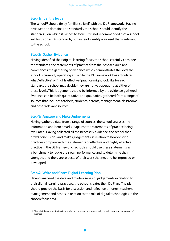### **Step 1: Identify focus**

The school<sup>11</sup> should firstly familiarise itself with the DL Framework. Having reviewed the domains and standards, the school should identify the standard(s) on which it wishes to focus. It is not recommended that a school will focus on all 32 standards, but instead identify a sub-set that is relevant to the school.

## **Step 2: Gather Evidence**

Having identified their digital learning focus, the school carefully considers the standards and statements of practice from their chosen area and commences the gathering of evidence which demonstrates the level the school is currently operating at. While the DL Framework has articulated what "effective" or "highly effective" practice might look like for each standard, the school may decide they are not yet operating at either of these levels. This judgement should be informed by the evidence gathered. Evidence can be both quantitative and qualitative, gathered from a range of sources that includes teachers, students, parents, management, classrooms and other relevant sources.

#### **Step 3: Analyse and Make Judgements**

Having gathered data from a range of sources, the school analyses the information and benchmarks it against the statements of practice being evaluated. Having collected all the necessary evidence, the school then draws conclusions and makes judgements in relation to how existing practices compare with the statements of effective and highly effective practice in the DL Framework. Schools should use these statements as a benchmark to judge their own performance and to determine their strengths and there are aspects of their work that need to be improved or developed.

#### **Step 4: Write and Share Digital Learning Plan**

Having analysed the data and made a series of judgements in relation to their digital learning practices, the school creates their DL Plan. The plan should provide the basis for discussion and reflection amongst teachers, management and others in relation to the role of digital technologies in the chosen focus area.

<sup>11.</sup> Though this document refers to schools, this cycle can be engaged in by an individual teacher, a group of teachers.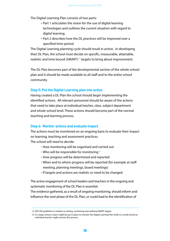The Digital Learning Plan consists of two parts:

- Part 1 articulates the vision for the use of digital learning technologies and outlines the current situation with regard to digital learning.
- Part 2 describes how the DL practices will be improved over a specified time-period.

The Digital Learning planning cycle should result in action. In developing their DL Plan, the school must decide on specific, measurable, attainable, realistic and time bound (SMART)<sup>12</sup> targets to bring about improvement.

The DL Plan becomes part of the developmental section of the whole-school plan and it should be made available to all staff and to the entire school community.

## **Step 5: Put the Digital Learning plan into action**

Having created a DL Plan the school should begin implementing the identified actions. All relevant personnel should be aware of the actions that need to take place at individual teacher, class, subject department and whole-school level. These actions should become part of the normal teaching and learning process.

#### **Step 6: Monitor actions and evaluate impact**

The actions must be monitored on an ongoing basis to evaluate their impact on learning, teaching and assessment practices.

The school will need to decide:

- How monitoring will be organised and carried out
- Who will be responsible for monitoring<sup>13</sup>
- How progress will be determined and reported
- When and to whom progress will be reported (for example at staff meeting, planning meetings, board meetings)
- If targets and actions are realistic or need to be changed.

The active engagement of school leaders and teachers in the ongoing and systematic monitoring of the DL Plan is essential.

The evidence gathered, as a result of ongoing monitoring, should inform and influence the next phase of the DL Plan, or could lead to the identification of

<sup>12.</sup> DES SSE guidelines in relation to setting, monitoring and realising SMART targets

<sup>13.</sup> In a large school, a team might be put in place to monitor the Digital Learning Plan while in a small school an individual teacher might oversee this process.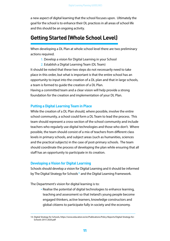a new aspect of digital learning that the school focuses upon. Ultimately the goal for the school is to enhance their DL practices in all areas of school life and this should be an ongoing activity.

# **Getting Started (Whole School Level)**

When developing a DL Plan at whole school level there are two preliminary actions required.

- 1. Develop a vision for Digital Learning in your School
- 2. Establish a Digital Learning Team (DL Team)

It should be noted that these two steps do not necessarily need to take place in this order, but what is important is that the entire school has an opportunity to input into the creation of a DL plan and that in large schools, a team is formed to guide the creation of a DL Plan.

Having a committed team and a clear vision will help provide a strong foundation for the creation and implementation of your DL Plan.

## **Putting a Digital Learning Team in Place**

While the creation of a DL Plan should, where possible, involve the entire school community, a school could form a DL Team to lead the process. This team should represent a cross-section of the school community and include teachers who regularly use digital technologies and those who don't. Where possible, the team should consist of a mix of teachers from different class levels in primary schools, and subject areas (such as humanities, sciences and the practical subjects) in the case of post-primary schools. The team should coordinate the process of developing the plan while ensuring that all staff has an opportunity to participate in its creation.

#### **Developing a Vision for Digital Learning**

Schools should develop a vision for Digital Learning and it should be informed by The Digital Strategy for Schools<sup>14</sup> and the Digital Learning Framework.

The Department's vision for digital learning is to:

• Realise the potential of digital technologies to enhance learning, teaching and assessment so that Ireland's young people become engaged thinkers, active learners, knowledge constructors and global citizens to participate fully in society and the economy.

<sup>14.</sup> Digital Strategy for Schools, https://www.education.ie/en/Publications/Policy-Reports/Digital-Strategy-for-Schools-2015-2020.pdf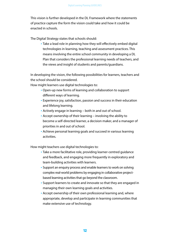This vision is further developed in the DL Framework where the statements of practice capture the form the vision could take and how it could be enacted in schools.

The Digital Strategy states that schools should:

• Take a lead role in planning how they will effectively embed digital technologies in learning, teaching and assessment practices. This means involving the entire school community in developing a DL Plan that considers the professional learning needs of teachers, and the views and insight of students and parents/guardians.

In developing the vision, the following possibilities for learners, teachers and the school should be considered.

How might learners use digital technologies to:

- Open-up new forms of learning and collaboration to support different ways of learning.
- Experience joy, satisfaction, passion and success in their education and lifelong learning.
- Actively engage in learning both in and out of school.
- Accept ownership of their learning involving the ability to become a self-directed learner, a decision maker, and a manager of priorities in and out of school.
- Achieve personal learning goals and succeed in various learning activities.

How might teachers use digital technologies to:

- Take a more facilitative role, providing learner-centred guidance and feedback, and engaging more frequently in exploratory and team-building activities with learners.
- Support an enquiry process and enable learners to work on solving complex real-world problems by engaging in collaborative projectbased learning activities that go beyond the classroom.
- Support learners to create and innovate so that they are engaged in managing their own learning goals and activities.
- Accept ownership of their own professional learning and, where appropriate, develop and participate in learning communities that make extensive use of technology.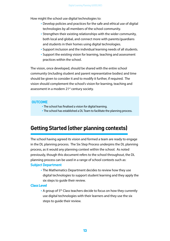How might the school use digital technologies to:

- Develop policies and practices for the safe and ethical use of digital technologies by all members of the school community.
- Strengthen their existing relationships with the wider community, both local and global, and connect more with parents/guardians and students in their homes using digital technologies.
- Support inclusion and the individual learning needs of all students.
- Support the existing vision for learning, teaching and assessment practices within the school.

The vision, once developed, should be shared with the entire school community (including student and parent representative bodies) and time should be given to consider it and to modify it further, if required. The vision should complement the school's vision for learning, teaching and assessment in a modern 21<sup>st</sup> century society.

## **OUTCOME**

- The school has finalised a vision for digital learning.
- The school has established a DL Team to facilitate the planning process.

# **Getting Started (other planning contexts)**

The school having agreed its vision and formed a team are ready to engage in the DL planning process. The Six Step Process underpins the DL planning process, as it would any planning context within the school. As noted previously, though this document refers to the school throughout, the DL planning process can be used in a range of school contexts such as: **Subject Department**

• The Mathematics Department decides to review how they use digital technologies to support student learning and they apply the six steps to guide their review.

#### **Class Level**

• A group of 5<sup>th</sup> Class teachers decide to focus on how they currently use digital technologies with their learners and they use the six steps to guide their review.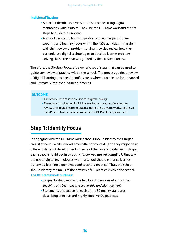#### **Individual Teacher**

- A teacher decides to review her/his practices using digital technology with learners. They use the DL Framework and the six steps to guide their review.
- A school decides to focus on problem-solving as part of their teaching and learning focus within their SSE activities. In tandem with their review of problem-solving they also review how they currently use digital technologies to develop learner problemsolving skills. The review is guided by the Six-Step Process.

Therefore, the Six-Step Process is a generic set of steps that can be used to guide any review of practice within the school. The process guides a review of digital learning practices, identifies areas where practice can be enhanced and ultimately improves learner outcomes.

#### **OUTCOME**

- The school has finalised a vision for digital learning.
- The school is facilitating individual teachers or groups of teachers to review their digital learning practice using the DL Framework and the Six-Step Process to develop and implement a DL Plan for improvement.

# **Step 1: Identify Focus**

In engaging with the DL Framework, schools should identify their target area(s) of need. While schools have different contexts, and they might be at different stages of development in terms of their use of digital technologies, each school should begin by asking *"how well are we doing?"*. Ultimately the use of digital technologies within a school should enhance learner outcomes, learning experiences and teachers' practice. Thus, the school should identify the focus of their review of DL practices within the school. **The DL Framework outlines:**

- 32 quality standards across two key dimensions of school life: *Teaching and Learning and Leadership and Management.*
- Statements of practice for each of the 32 quality standards describing effective and highly effective DL practices.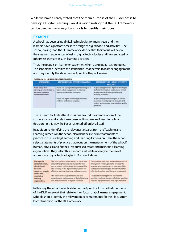While we have already stated that the main purpose of the Guidelines is to develop a Digital Learning Plan, it is worth noting that the DL Framework can be used in many ways by schools to identify their focus.

## **EXAMPLE**

A school has been using digital technologies for many years and their learners have significant access to a range of digital tools and activities. The school, having read the DL Framework, decide that their focus will be on their learners' experiences of using digital technologies and how engaged, or otherwise, they are in such learning activities.

Thus, the focus is on learner engagement when using digital technologies. The school then identifies the standard (s) that pertain to learner engagement and they identify the statements of practice they will review.

| <b>DOMAIN 1: LEARNER OUTCOMES</b>                                                              |                                                                                                                           |                                                                                                                                                           |  |
|------------------------------------------------------------------------------------------------|---------------------------------------------------------------------------------------------------------------------------|-----------------------------------------------------------------------------------------------------------------------------------------------------------|--|
| <b>STANDARDS</b>                                                                               | STATEMENTS OF EFFECTIVE PRACTICE                                                                                          | STATEMENTS OF HIGHLY EFFECTIVE<br><b>PRACTICE</b>                                                                                                         |  |
| Pupils enjoy their<br>learning, are motivated to<br>learn and expect to<br>achieve as learners | Pupils use appropriate digital technologies to<br>foster active engagement in attaining<br>appropriate learning outcomes. | Pupils use appropriate digital technologies<br>to foster their active, creative and critical<br>engagement in attaining challenging<br>learning outcomes. |  |
|                                                                                                | Pupils use digital technologies to collect<br>evidence and record progress.                                               | Pupils use digital technologies to collect<br>evidence, record progress, evaluate and<br>reflect, and to create new solutions and/or<br>products.         |  |

The DL Team facilitates the discussions around the identification of the school's focus and all staff are consulted in advance of reaching a final decision. In this way the Focus is signed off on by all staff.

In addition to identifying the relevant standards from the Teaching and Learning Dimension the school also identifies relevant statements of practice in the Leading Learning and Teaching Dimension. Here the school selects statements of practice that focus on the management of the school's human, physical and financial resources to create and maintain a learning organisation. They select this standard as it relates closely to the use of appropriate digital technologies in Domain 1 above.



The principal and other leaders in the school school's human, ensure that processes are in place for the physical and procurement, maintenance, interoperability<br>financial and security of the digital infrastructure for resources so as to effective learning, teaching and assessment.

> The board of management ensures the aids and equipment to a good standard.

The principal and other leaders in the school strategically review, plan and oversee the procurement, maintenance, interoperability and security of the digital infrastructure for effective learning, teaching and assessment.

The board of management ensures the provision and maintenance of digital teaching provision and maintenance of digital teaching aids and equipment to a very high standard.

In this way the school selects statements of practice from both dimensions of the DL Framework that relate to their focus, that of learner engagement. Schools should identify the relevant practice statements for their focus from both dimensions of the DL Framework.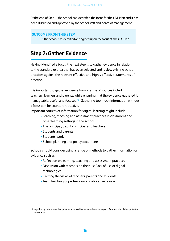At the end of Step 1, the school has identified the focus for their DL Plan and it has been discussed and approved by the school staff and board of management.

## **OUTCOME FROM THIS STEP**

• The school has identified and agreed upon the focus of their DL Plan.

# **Step 2: Gather Evidence**

Having identified a focus, the next step is to gather evidence in relation to the standard or area that has been selected and review existing school practices against the relevant effective and highly effective statements of practice.

It is important to gather evidence from a range of sources including teachers, learners and parents, while ensuring that the evidence gathered is manageable, useful and focused.<sup>15</sup> Gathering too much information without a focus can be counterproductive.

Important sources of information for digital learning might include:

- Learning, teaching and assessment practices in classrooms and other learning settings in the school
- The principal, deputy principal and teachers
- Students and parents
- Students' work
- School planning and policy documents.

Schools should consider using a range of methods to gather information or evidence such as:

- Reflection on learning, teaching and assessment practices
- Discussion with teachers on their use/lack of use of digital technologies
- Eliciting the views of teachers, parents and students
- Team teaching or professional collaborative review.

<sup>15.</sup> In gathering data ensure that privacy and ethical issues are adhered to as part of normal school data protection procedures.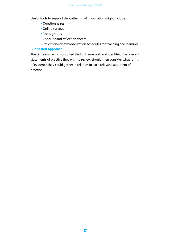Useful tools to support the gathering of information might include:

- Questionnaires
- Online surveys
- Focus groups
- Checklist and reflection sheets
- Reflection/review/observation schedules for teaching and learning.

## **Suggested Approach**

The DL Team having consulted the DL Framework and identified the relevant statements of practice they wish to review, should then consider what forms of evidence they could gather in relation to each relevant statement of practice.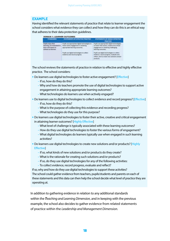#### **EXAMPLE**

Having identified the relevant statements of practice that relate to learner engagement the school considers what evidence they can collect and how they can do this is an ethical way that adheres to their data protection guidelines.

| <b>STANDARDS</b>                                                                               | STATEMENTS OF EFFECTIVE PRACTICE                                                                                          | STATEMENTS OF HIGHLY EFFECTIVE<br>PRACTICE                                                                                                                                           |
|------------------------------------------------------------------------------------------------|---------------------------------------------------------------------------------------------------------------------------|--------------------------------------------------------------------------------------------------------------------------------------------------------------------------------------|
| upits enjoy their<br>ning, are multivated to<br>ann and expect to<br>Islandra Jus Tenasrinan's | Pupils use appropriate digital technologies to<br>foster active engagement in attaining<br>appropriate learning outcomes. | Pupils use appropriate digital technologies<br>to foster their active, creative and critical<br>engagement in attaining challenging<br>-------<br>Marriang buildblines.              |
|                                                                                                | usils use digital technologies to collect<br>evidence and record progress.<br>A LINE OF THE CONTRACTORS                   | upils use digital technologies to collect<br>dence, record progress, evaluate a<br>reflect, and to create new solutions.<br>and the company of the company of the<br><b>DISABLES</b> |

The school reviews the statements of practice in relation to effective and highly effective practice. The school considers:

- Do learners use digital technologies to foster active engagement? [Effective]
	- If so, how do they do this?
	- –Why and how do teachers promote the use of digital technologies to support active engagement in attaining appropriate learning outcomes?
	- –What technologies do learners use when actively engaged?
- Do learners use to digital technologies to collect evidence and record progress? [Effective]
	- If so, how do they do this?
	- –What is the purpose of collecting this evidence and recording progress?
	- –What technologies do they use for this purpose?
- Do learners use digital technologies to foster their active, creative and critical engagement in attaining learner outcomes? [Highly Effective]
	- –What level of challenge is typically associated with these learning outcomes?
	- How do they use digital technologies to foster the various forms of engagement?
	- –What digital technologies do learners typically use when engaged in such learning activities?
- Do learners use digital technologies to create new solutions and/or products? [Highly **Effectivel** 
	- If so, what kinds of new solutions and/or products do they create?
	- –What is the rationale for creating such solutions and/or products?
	- If so, do they use digital technologies for any of the following activities:
	- To collect evidence, record progress, evaluate and reflect?

If so, why and how do they use digital technologies to support these activities? The school could gather evidence from teachers, pupils/students and parents on each of these statements and this data can then help the school decide what level of practice they are operating at.

In addition to gathering evidence in relation to any additional standards within the *Teaching and Learning Dimension,* and in keeping with the previous example, the school also decides to gather evidence from related statements of practice within the *Leadership and Management Dimension.*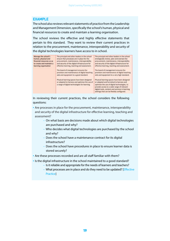#### **EXAMPLE**

The school also reviews relevant statements of practice from the Leadership and Management Dimension, specifically the school's human, physical and financial resources to create and maintain a learning organisation.

The school reviews the effective and highly effective statements that pertain to this standard. They want to review their current practices in relation to the procurement, maintenance, interoperability and security of the digital technologies learners have access to in school.

| Manage the school's       | The principal and other leaders in the school                                                                                                 | The principal and other leaders in the school                                                                                                                                         |
|---------------------------|-----------------------------------------------------------------------------------------------------------------------------------------------|---------------------------------------------------------------------------------------------------------------------------------------------------------------------------------------|
| human, physical and       | ensure that processes are in place for the                                                                                                    | strategically review, plan and oversee the                                                                                                                                            |
| financial resources so as | procurement, maintenance, interoperability                                                                                                    | procurement, maintenance, interoperability                                                                                                                                            |
| to create and maintain a  | and security of the digital infrastructure for                                                                                                | and security of the digital infrastructure for                                                                                                                                        |
| learning organisation     | effective learning, teaching and assessment.                                                                                                  | effective learning, teaching and assessment.                                                                                                                                          |
|                           | The board of management ensures the                                                                                                           | The board of management ensures the                                                                                                                                                   |
|                           | provision and maintenance of digital teaching                                                                                                 | provision and maintenance of digital teaching                                                                                                                                         |
|                           | aids and equipment to a good standard.                                                                                                        | aids and equipment to a very high standard.                                                                                                                                           |
|                           | Physical learning spaces have been designed<br>or adapted to harness and optimise the use of<br>a range of digital technologies for learning. | Physical learning spaces have been designed<br>or adapted and furnished to harness and<br>optimise the use of digital technologies, to<br>provide access to a wide range of relevant. |
|                           |                                                                                                                                               | digital tools, content and services in learning<br>settings that can be flexibly configured.                                                                                          |

In reviewing their current practices, the school considers the following questions:

• Are processes in place for the procurement, maintenance, interoperability and security of the digital infrastructure for effective learning, teaching and assessment?

- On what basis are decisions made about which digital technologies are purchased and why?
- Who decides what digital technologies are purchased by the school and why?
- Does the school have a maintenance contract for its digital infrastructure?
- Does the school have procedures in place to ensure learner data is stored securely?

• Are these processes recorded and are all staff familiar with them?

- Is the digital infrastructure in the school maintained to a good standard?
	- Is it reliable and appropriate for the needs of learners and teachers?
	- What processes are in place and do they need to be updated? [Effective **Practice**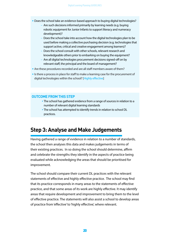- Does the school take an evidence-based approach to buying digital technologies?
	- Are such decisions informed primarily by learning needs (e.g. buying robotic equipment for Junior Infants to support literacy and numeracy development)?
	- Does the school take into account how the digital technologies plan to be used before making a collective purchasing decision (e.g. technologies that support active, critical and creative engagement among learners)?
	- Does the school consult with other schools, relevant research and knowledgeable others prior to embarking on buying the equipment?
	- Are all digital technologies procurement decisions signed-off on by relevant staff, the principal and the board of management?
- Are these procedures recorded and are all staff members aware of them?
- Is there a process in place for staff to make a learning case for the procurement of digital technologies within the school? [Highly effective]

## **OUTCOME FROM THIS STEP**

- The school has gathered evidence from a range of sources in relation to a number of relevant digital learning standards
- The school has attempted to identify trends in relation to school DL practices.

# **Step 3: Analyse and Make Judgements**

Having gathered a range of evidence in relation to a number of standards, the school then analyses this data and makes judgements in terms of their existing practices. In so doing the school should determine, affirm and celebrate the strengths they identify in the aspects of practice being evaluated while acknowledging the areas that should be prioritised for improvement.

The school should compare their current DL practices with the relevant statements of effective and highly effective practice. The school may find that its practice corresponds in many areas to the statements of effective practice, and that some areas of its work are highly effective. It may identify areas that require development and improvement to bring them to the level of effective practice. The statements will also assist a school to develop areas of practice from 'effective' to 'highly effective', where relevant.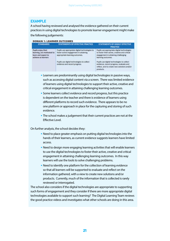## **EXAMPLE**

A school having reviewed and analysed the evidence gathered on their current practices in using digital technologies to promote learner engagement might make the following judgements:

#### **DOMAIN 1: LEARNER OUTCOMES**

| <b>STANDARDS</b>                                                                               | STATEMENTS OF EFFECTIVE PRACTICE                                                                                                                                                                         | <b>STATEMENTS OF HIGHLY EFFECTIVE</b><br><b>PRACTICE</b>                                                                                                                                                                                                                                                       |
|------------------------------------------------------------------------------------------------|----------------------------------------------------------------------------------------------------------------------------------------------------------------------------------------------------------|----------------------------------------------------------------------------------------------------------------------------------------------------------------------------------------------------------------------------------------------------------------------------------------------------------------|
| Pupils enjoy their<br>learning, are motivated to<br>learn and expect to<br>achieve as learners | Pupils use appropriate digital technologies to<br>foster active engagement in attaining<br>appropriate learning outcomes.<br>Pupils use digital technologies to collect<br>evidence and record progress. | Pupils use appropriate digital technologies<br>to foster their active, creative and critical<br>engagement in attaining challenging<br>learning outcomes.<br>Pupils use digital technologies to collect<br>evidence, record progress, evaluate and<br>reflect, and to create new solutions and/or<br>products. |

- Learners are predominantly using digital technologies in passive ways, such as accessing digital content via a screen. There was limited evidence of learners using digital technologies to support their active, creative and critical engagement in attaining challenging learning outcomes.
- Some learners collect evidence and record progress, but this practice is dependent on the teacher and there is evidence of learners using different platforms to record such evidence. There appears to be no one platform or approach in place for the capturing and storing of such evidence.
- The school makes a judgement that their current practices are not at the Effective Level.

On further analysis, the school decides they:

- Need to place greater emphasis on putting digital technologies into the hands of their learners, as current evidence suggests learners have limited access.
- Need to design more engaging learning activities that will enable learners to use the digital technologies to foster their active, creative and critical engagement in attaining challenging learning outcomes. In this way learners will use the tools to solve challenging problems.
- Need to identify one platform for the collection of learning evidence so that all learners will be supported to evaluate and reflect on the information gathered, with a view to create new solutions and/or products. Currently, much of the information that is collected is rarely reviewed or interrogated.

The school also considers if the digital technologies are appropriate to supporting such forms of engagement and they consider if there are more appropriate digital technologies available to support such learning? The Digital Learning Team reviews the good practice videos and investigates what other schools are doing in this area.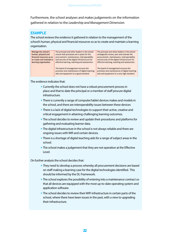Furthermore, the school analyses and makes judgements on the information gathered in relation to the *Leadership and Management Dimension.*

## **EXAMPLE**

The school reviews the evidence it gathered in relation to the management of the school's human, physical and financial resources so as to create and maintain a learning organisation.



The evidence indicates that:

- Currently the school does not have a robust procurement process in place and that to date the principal or a member of staff procure digital infrastructure.
- There is currently a range of computer/tablet devices makes and models in the school, and there are interoperability issues between these devices
- There is a lack of digital technologies to support their active, creative and critical engagement in attaining challenging learning outcomes.
- The school decides to review and update their procedures and platforms for gathering and evaluating learner data.
- The digital infrastructure in the school is not always reliable and there are ongoing issues with Wifi and certain devices.
- There is a shortage of digital teaching aids for a range of subject areas in the school.
- The school makes a judgement that they are not operation at the Effective Level.

On further analysis the school decides that:

- They need to develop a process whereby all procurement decisions are based on staff making a learning case for the digital technologies identified. This should be informed by the DL Framework.
- The school explores the possibility of entering into a maintenance contract so that all devices are equipped with the most up-to-date operating system and application software.
- The school decides to review their WIFI infrastructure in certain parts of the school, where there have been issues in the past, with a view to upgrading their infrastructure.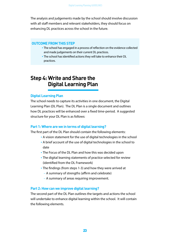The analysis and judgements made by the school should involve discussion with all staff members and relevant stakeholders, they should focus on enhancing DL practices across the school in the future.

## **OUTCOME FROM THIS STEP**

- The school has engaged in a process of reflection on the evidence collected and made judgements on their current DL practices.
- The school has identified actions they will take to enhance their DL practices.

# **Step 4: Write and Share the Digital Learning Plan**

#### **Digital Learning Plan**

The school needs to capture its activities in one document, the Digital Learning Plan (DL Plan). The DL Plan is a single document and outlines how DL practices will be enhanced over a fixed time-period. A suggested structure for your DL Plan is as follows:

#### **Part 1: Where are we in terms of digital learning?**

The first part of the DL Plan should contain the following elements:

- A vision statement for the use of digital technologies in the school
- A brief account of the use of digital technologies in the school to date
- The Focus of the DL Plan and how this was decided upon
- The digital learning statements of practice selected for review (identified from the DL Framework)
- The findings (from steps 1-3) and how they were arrived at
	- A summary of strengths (affirm and celebrate)
	- A summary of areas requiring improvement.

#### **Part 2: How can we improve digital learning?**

The second part of the DL Plan outlines the targets and actions the school will undertake to enhance digital learning within the school. It will contain the following elements.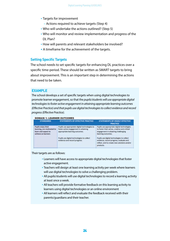- Targets for improvement
	- Actions required to achieve targets (Step 4)
- Who will undertake the actions outlined? (Step 5)
- Who will monitor and review implementation and progress of the DL Plan?
- How will parents and relevant stakeholders be involved?
- A timeframe for the achievement of the targets.

## **Setting Specific Targets**

The school needs to set specific targets for enhancing DL practices over a specific time-period. These should be written as SMART targets to bring about improvement. This is an important step in determining the actions that need to be taken.

## **EXAMPLE**

The school develops a set of specific targets when using digital technologies to promote learner engagement, so that the *pupils/students will use appropriate digital technologies to foster active engagement in attaining appropriate learning outcomes (Effective Practice) and that pupils use digital technologies to collect evidence and record progress (Effective Practice).*

#### **DOMAIN 1: LEARNER OUTCOMES**

| <b>STANDARDS</b>                                                                                | STATEMENTS OF EFFECTIVE PRACTICE                                                                                          | STATEMENTS OF HIGHLY EFFECTIVE<br><b>PRACTICE</b>                                                                                                         |
|-------------------------------------------------------------------------------------------------|---------------------------------------------------------------------------------------------------------------------------|-----------------------------------------------------------------------------------------------------------------------------------------------------------|
| Pupils enjoy their<br>learning, are motivated to<br>learn and expect to<br>achieve as learners. | Pupils use appropriate digital technologies to<br>foster active engagement in attaining<br>appropriate learning outcomes. | Pupils use appropriate digital technologies<br>to foster their active, creative and critical<br>engagement in attaining challenging<br>learning outcomes. |
|                                                                                                 | Pupils use digital technologies to collect<br>evidence and record progress.                                               | Pupils use digital technologies to collect<br>evidence, record progress, evaluate and<br>reflect, and to create new solutions and/or<br>products.         |

Their targets are as follows:

- Learners will have access to appropriate digital technologies that foster active engagement.
- Teachers will design at least one learning activity per week where learners will use digital technologies to solve a challenging problem.
- All pupils/students will use digital technologies to record a learning activity at least once a week.
- All teachers will provide formative feedback on this learning activity to learners using digital technologies or an online environment
- All learners will reflect and evaluate the feedback received with their parents/guardians and their teacher.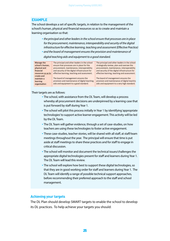#### **EXAMPLE**

The school develops a set of specific targets, in relation to the management of the school's human, physical and financial resources so as to create and maintain a learning organisation so that:

- *the principal and other leaders in the school ensure that processes are in place for the procurement, maintenance, interoperability and security of the digital infrastructure for effective learning, teaching and assessment (Effective Practice)*
- *and the board of management ensures the provision and maintenance of*

*digital teaching aids and equipment to a good standard.*

| Manage the         | The principal and other leaders in the school  | The principal and other leaders in the school  |
|--------------------|------------------------------------------------|------------------------------------------------|
| school's human,    | ensure that processes are in place for the     | strategically review, plan and oversee the     |
| physical and       | procurement, maintenance, interoperability     | procurement, maintenance, interoperability     |
| financial          | and security of the digital infrastructure for | and security of the digital infrastructure for |
| resources so as to | effective learning, teaching and assessment.   | effective learning, teaching and assessment.   |
| create and         |                                                |                                                |
| maintain a         | The board of management ensures the            | The board of management ensures the            |
| learning           | provision and maintenance of digital teaching  | provision and maintenance of digital teaching  |
| organisation       | aids and equipment to a good standard.         | aids and equipment to a very high standard.    |

Their targets are as follows:

- The school, with assistance from the DL Team, will develop a process whereby all procurement decisions are underpinned by a learning case that is put forward by staff during Year 1.
- The school will pilot this process initially in Year 1 by identifying 'appropriate technologies' to support active learner engagement. This activity will be led by the DL Team.
- The DL Team will gather evidence, through a set of case-studies, on how teachers are using these technologies to foster active engagement.
- These case-studies, teacher stories, will be shared with all staff, at staff/team meetings throughout the year. The principal will ensure that time is put aside at staff meetings to share these practices and for staff to engage in critical discussion.
- The school will monitor and document the technical issues/challenges the appropriate digital technologies present for staff and learners during Year 1. The DL Team will lead this review.
- The school will explore how best to support these digital technologies, so that they are in good working order for staff and learners during Year 1. The DL Team will identify a range of possible technical support approaches, before recommending their preferred approach to the staff and school management.

#### **Achieving your targets**

The DL Plan should develop SMART targets to enable the school to develop its DL practices. To help achieve your targets you should: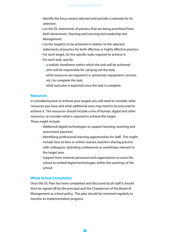- Identify the focus area(s) selected and provide a rationale for its selection.
- List the DL statements of practice that are being prioritised from both dimensions: *Teaching and Learning and Leadership and Management.*
- List the target(s) to be achieved in relation to the selected statements of practice for both effective or highly effective practice.
- For each target, list the specific tasks required to achieve it.
- For each task, specify:
	- a realistic timeframe within which the task will be achieved;
	- who will be responsible for carrying out the task;
	- what resources are required (i.e. personnel, equipment, services etc.) to complete the task;
	- what outcome is expected once the task is complete.

## **Resources**

In considering how to achieve your targets you will need to consider what resources you have and what additional ones may need to be procured to achieve it. The resources should include a mix of human, digital and other resources, so consider what is required to achieve the target. These might include:

- Additional digital technologies to support learning, teaching and assessment practices
- Identifying professional learning opportunities for staff. This might include face-to-face or online courses, teachers sharing practice with colleagues, attending conferences or workshops relevant to the target area.
- Support from external personnel and organisations to assist the school to embed digital technologies within the workings of the school.

## **Whole School Consultation**

Once the DL Plan has been completed and discussed by all staff it should then be signed off by the principal and the Chairperson of the Board of Management as school policy. The plan should be reviewed regularly to monitor its implementation progress.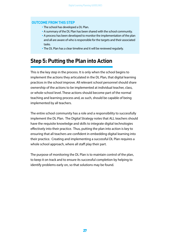## **OUTCOME FROM THIS STEP**

- The school has developed a DL Plan.
- A summary of the DL Plan has been shared with the school community.
- A process has been developed to monitor the implementation of the plan and all are aware of who is responsible for the targets and their associated tasks.
- The DL Plan has a clear timeline and it will be reviewed regularly.

# **Step 5: Putting the Plan into Action**

This is the key step in the process. It is only when the school begins to implement the actions they articulated in the DL Plan, that digital learning practices in the school improve. All relevant school personnel should share ownership of the actions to be implemented at individual teacher, class, or whole-school level. These actions should become part of the normal teaching and learning process and, as such, should be capable of being implemented by all teachers.

The entire school community has a role and a responsibility to successfully implement the DL Plan. The Digital Strategy notes that ALL teachers should have the requisite knowledge and skills to integrate digital technologies effectively into their practice. Thus, putting the plan into action is key to ensuring that all teachers are confident in embedding digital learning into their practice. Creating and implementing a successful DL Plan requires a whole school approach, where all staff play their part.

The purpose of monitoring the DL Plan is to maintain control of the plan, to keep it on track and to ensure its successful completion by helping to identify problems early on, so that solutions may be found.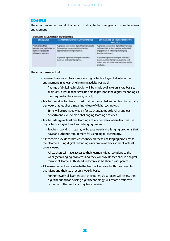## **EXAMPLE**

The school implements a set of actions so that digital technologies can promote learner engagement.

#### **DOMAIN 1: LEARNER OUTCOMES**

| <b>STANDARDS</b>                                                                               | STATEMENTS OF EFFECTIVE PRACTICE                                                                                                                                                                         | <b>STATEMENTS OF HIGHLY EFFECTIVE</b><br><b>PRACTICE</b>                                                                                                                                                                                                                                          |
|------------------------------------------------------------------------------------------------|----------------------------------------------------------------------------------------------------------------------------------------------------------------------------------------------------------|---------------------------------------------------------------------------------------------------------------------------------------------------------------------------------------------------------------------------------------------------------------------------------------------------|
| Pupils enjoy their<br>learning, are motivated to<br>learn and expect to<br>achieve as learners | Pupils use appropriate digital technologies to<br>foster active engagement in attaining<br>appropriate learning outcomes.<br>Pupils use digital technologies to collect<br>evidence and record progress. | Pupils use appropriate digital technologies<br>to foster their active, creative and critical<br>engagement in attaining challenging<br>learning outcomes.<br>Pupils use digital technologies to collect<br>evidence, record progress, evaluate and<br>reflect, and to create new solutions and/or |

#### The school ensures that:

- Learners have access to appropriate digital technologies to foster active engagement in at least one learning activity per week.
	- A range of digital technologies will be made available on a rota basis to all classes. Class teachers will be able to pre-book the digital technologies they require for their learning activity.
- Teachers work collectively to design at least one challenging learning activity per week that requires a meaningful use of digital technology.
	- Time will be provided weekly for teachers, at grade level or subject department level, to plan challenging learning activities.
- Teachers design at least one learning activity per week where learners use digital technologies to solve challenging problems.
	- Teachers, working in teams, will create weekly challenging problems that have an authentic requirement for using digital technology.
- All teachers provide formative feedback on these challenging problems to their learners using digital technologies or an online environment, at least once a week.
	- All teachers will have access to their learners' digital solutions to the weekly challenging problems and they will provide feedback in a digital form to all learners. This feedback can also be shared with parents.
- All learners reflect and evaluate the feedback received with their parents/ guardians and their teacher on a weekly basis.
	- For homework all learners with their parents/guardians will review their digital feedback and, using digital technology, will create a reflective response to the feedback they have received.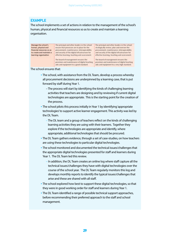## **EXAMPLE**

The school implements a set of actions in relation to the management of the school's human, physical and financial resources so as to create and maintain a learning organisation.

| Manage the school's       | The principal and other leaders in the school  | The principal and other leaders in the school  |
|---------------------------|------------------------------------------------|------------------------------------------------|
| human, physical and       | ensure that processes are in place for the     | strategically review, plan and oversee the     |
| financial resources so as | procurement, maintenance, interoperability     | procurement, maintenance, interoperability     |
| to create and maintain a  | and security of the digital infrastructure for | and security of the digital infrastructure for |
| learning organisation     | effective learning, teaching and assessment.   | effective learning, teaching and assessment.   |
|                           | The board of management ensures the            | The board of management ensures the            |
|                           | provision and maintenance of digital teaching  | provision and maintenance of digital teaching  |
|                           | aids and equipment to a good standard.         | aids and equipment to a very high standard.    |

#### The school ensures that:

- The school, with assistance from the DL Team, develop a process whereby all procurement decisions are underpinned by a learning case, that is put forward by staff during Year 1.
	- The process will start by identifying the kinds of challenging learning activities that teachers are designing and by reviewing if current digital technologies are appropriate. This is the starting point for the creation of the process.
- The school pilots this process initially in Year 1 by identifying 'appropriate technologies' to support active learner engagement. This activity was led by the DL Team.
	- The DL team and a group of teachers reflect on the kinds of challenging learning activities they are using with their learners. Together they explore if the technologies are appropriate and identify, where appropriate, additional technologies that should be procured.
- The DL Team gathers evidence, through a set of case-studies, on how teachers are using these technologies to particular digital technologies.
- The school monitored and documented the technical issues/challenges that the appropriate digital technologies presented for staff and learners during Year 1. The DL Team led this review.
	- In addition, the DL Team creates an online log where staff capture all the technical issues/challenges they have with digital technologies over the course of the school year. The DL Team regularly monitors this log and develops monthly reports to identify the typical issues/challenges that arise and these are shared with all staff.
- The school explored how best to support these digital technologies, so that they were in good working order for staff and learners during Year 1.
- The DL Team identified a range of possible technical support approaches, before recommending their preferred approach to the staff and school management.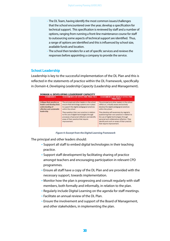– The DL Team, having identify the most common issues/challenges that the school encountered over the year, develop a specification for technical support. This specification is reviewed by staff and a number of options, ranging from running a front-line maintenance course for staff to outsourcing some aspects of technical support are identified. Thus, a range of options are identified and this is influenced by school size, available funds and location.

– The school then tenders for a set of specific services and reviews the responses before appointing a company to provide the service.

#### **School Leadership**

Leadership is key to the successful implementation of the DL Plan and this is reflected in the statements of practice within the DL Framework, specifically in *Domain 4, Developing Leadership Capacity* (Leadership and Management).

| <b>STANDARDS</b>                                                                                                       | STATEMENT'S OF EFFECTIVE PRACTICE.                                                                                                                                                                  | STATEMENTS OF HIGHLY EFFECTIVE<br><b>PRACTICE</b>                                                                                                                                                                                                                |
|------------------------------------------------------------------------------------------------------------------------|-----------------------------------------------------------------------------------------------------------------------------------------------------------------------------------------------------|------------------------------------------------------------------------------------------------------------------------------------------------------------------------------------------------------------------------------------------------------------------|
| Critique their practice as<br>leaders and develop their<br>understanding of<br>effective and sustainable<br>leadership | The principal and other leaders in the school<br>ensure that technology systems are in place<br>to support the digital pedagogical practices.<br>within the school.                                 | The principal and other leaders in the school<br>reflect on, critically assess and actively<br>develop the digital pedagogical practices<br>within the school.                                                                                                   |
|                                                                                                                        | They question their own practice in relation<br>to the use of digital technologies through<br>processes of personal reflection and identify<br>areas of their practice that require<br>improvement. | They develop self-awareness by regularly<br>questioning their own practice in relation to<br>the use of digital technologies through<br>personal and collaborative reflection. They<br>identify and work on areas of their practice<br>that require improvement. |

*Figure 4: Excerpt from the Digital Learning Framework*

The principal and other leaders should:

- Support all staff to embed digital technologies in their teaching practice.
- Support staff development by facilitating sharing of practice amongst teachers and encouraging participation in relevant CPD programmes.
- Ensure all staff have a copy of the DL Plan and are provided with the necessary support, towards implementation.
- Monitor how the plan is progressing and consult regularly with staff members, both formally and informally, in relation to the plan.
- Regularly include Digital Learning on the agenda for staff meetings.
- Facilitate an annual review of the DL Plan.
- Ensure the involvement and support of the Board of Management, and other stakeholders, in implementing the plan.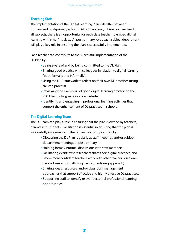## **Teaching Staff**

The implementation of the Digital Learning Plan will differ between primary and post-primary schools. At primary level, where teachers teach all subjects, there is an opportunity for each class teacher to embed digital learning within her/his class. At post-primary level, each subject department will play a key role in ensuring the plan is successfully implemented.

Each teacher can contribute to the successful implementation of the DL Plan by:

- Being aware of and by being committed to the DL Plan.
- Sharing good practice with colleagues in relation to digital learning (both formally and informally).
- Using the DL Framework to reflect on their own DL practices (using six step process)
- Reviewing the exemplars of good digital learning practice on the PDST Technology in Education website.
- Identifying and engaging in professional learning activities that support the enhancement of DL practices in schools.

## **The Digital Learning Team**

The DL Team can play a role in ensuring that the plan is owned by teachers, parents and students. Facilitation is essential in ensuring that the plan is successfully implemented. The DL Team can support staff by:

- Discussing the DL Plan regularly at staff meetings and/or subject department meetings at post-primary.
- Holding formal/informal discussions with staff members.
- Facilitating events where teachers share their digital practices, and where more confident teachers work with other teachers on a oneto-one basis and small group basis (mentoring approach).
- Sharing ideas, resources, and/or classroom management approaches that support effective and highly effective DL practices.
- Supporting staff to identify relevant external professional learning opportunities.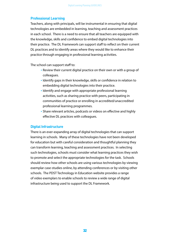## **Professional Learning**

Teachers, along with principals, will be instrumental in ensuring that digital technologies are embedded in learning, teaching and assessment practices in each school. There is a need to ensure that all teachers are equipped with the knowledge, skills and confidence to embed digital technologies into their practice. The DL Framework can support staff to reflect on their current DL practices and to identify areas where they would like to enhance their practice through engaging in professional learning activities.

The school can support staff to:

- Review their current digital practice on their own or with a group of colleagues.
- Identify gaps in their knowledge, skills or confidence in relation to embedding digital technologies into their practice.
- Identify and engage with appropriate professional learning activities, such as sharing practice with peers, participating in communities of practice or enrolling in accredited/unaccredited professional learning programmes.
- Share relevant articles, podcasts or videos on effective and highly effective DL practices with colleagues.

## **Digital Infrastructure**

There is an ever-expanding array of digital technologies that can support learning in schools. Many of these technologies have not been developed for education but with careful consideration and thoughtful planning they can transform learning, teaching and assessment practices. In selecting such technologies, schools must consider what learning practices they wish to promote and select the appropriate technologies for the task. Schools should review how other schools are using various technologies by viewing exemplar case-studies online, by attending conferences or by visiting other schools. The PDST Technology in Education website provides a range of video exemplars to enable schools to review a wide range of digital infrastructure being used to support the DL Framework.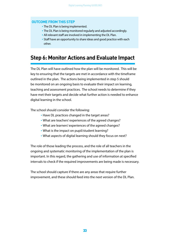## **OUTCOME FROM THIS STEP**

- The DL Plan is being implemented.
- The DL Plan is being monitored regularly and adjusted accordingly.
- All relevant staff are involved in implementing the DL Plan.
- Staff have an opportunity to share ideas and good practice with each other.

# **Step 6: Monitor Actions and Evaluate Impact**

The DL Plan will have outlined how the plan will be monitored. This will be key to ensuring that the targets are met in accordance with the timeframe outlined in the plan. The actions being implemented in step 5 should be monitored on an ongoing basis to evaluate their impact on learning, teaching and assessment practices. The school needs to determine if they have met their targets and decide what further action is needed to enhance digital learning in the school.

The school should consider the following:

- Have DL practices changed in the target areas?
- What are teachers' experiences of the agreed changes?
- What are learners' experiences of the agreed changes?
- What is the impact on pupil/student learning?
- What aspects of digital learning should they focus on next?

The role of those leading the process, and the role of all teachers in the ongoing and systematic monitoring of the implementation of the plan is important. In this regard, the gathering and use of information at specified intervals to check if the required improvements are being made is necessary.

The school should capture if there are any areas that require further improvement, and these should feed into the next version of the DL Plan.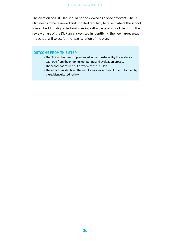The creation of a DL Plan should not be viewed as a once off event. The DL Plan needs to be reviewed and updated regularly to reflect where the school is in embedding digital technologies into all aspects of school life. Thus, the review phase of the DL Plan is a key step in identifying the new target areas the school will select for the next iteration of the plan.

## **OUTCOME FROM THIS STEP**

- The DL Plan has been implemented as demonstrated by the evidence gathered from the ongoing monitoring and evaluation process.
- The school has carried out a review of the DL Plan.
- The school has identified the next focus area for their DL Plan informed by the evidence based review.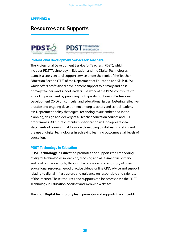## **APPENDIX A**

# **Resources and Supports**





## **Professional Development Service for Teachers**

The Professional Development Service for Teachers (PDST), which includes PDST Technology in Education and the Digital Technologies team, is a cross-sectoral support service under the remit of the Teacher Education Section (TES) of the Department of Education and Skills (DES) which offers professional development support to primary and postprimary teachers and school leaders. The work of the PDST contributes to school improvement by providing high quality Continuing Professional Development (CPD) on curricular and educational issues, fostering reflective practice and ongoing development among teachers and school leaders. It is Department policy that digital technologies are embedded in the planning, design and delivery of all teacher education courses and CPD programmes. All future curriculum specification will incorporate clear statements of learning that focus on developing digital learning skills and the use of digital technologies in achieving learning outcomes at all levels of education.

## **PDST Technology in Education**

**PDST Technology in Education** promotes and supports the embedding of digital technologies in learning, teaching and assessment in primary and post primary schools, through the provision of a repository of open educational resources, good practice videos, online CPD, advice and support relating to digital infrastructure and guidance on responsible and safer use of the internet. These resources and supports can be accessed via the PDST Technology in Education, Scoilnet and Webwise websites.

The PDST **Digital Technology** team promotes and supports the embedding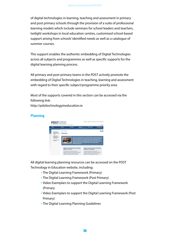of digital technologies in learning, teaching and assessment in primary and post primary schools through the provision of a suite of professional learning models which include seminars for school leaders and teachers, twilight workshops in local education centres, customised school-based support arising from schools' identified needs as well as a catalogue of summer courses.

This support enables the authentic embedding of Digital Technologies across all subjects and programmes as well as specific supports for the digital learning planning process.

All primary and post-primary teams in the PDST actively promote the embedding of Digital Technologies in teaching, learning and assessment with regard to their specific subject/programme priority area.

Most of the supports covered in this section can be accessed via the following link:

http://pdsttechnologyineducation.ie

## **Planning**



All digital learning planning resources can be accessed on the PDST Technology in Education website, including:

- The Digital Learning Framework (Primary)
- The Digital Learning Framework (Post Primary)
- Video Exemplars to support the Digital Learning Framework (Primary
- Video Exemplars to support the Digital Learning Framework (Post Primary)
- The Digital Learning Planning Guidelines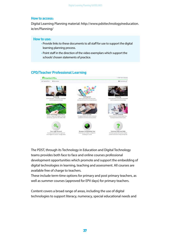#### **How to access:**

Digital Learning Planning material: http://www.pdsttechnologyineducation. ie/en/Planning/

#### **How to use:**

- Provide links to these documents to all staff for use to support the digital learning planning process.
- Point staff in the direction of the video exemplars which support the schools' chosen statements of practice.

## **CPD/Teacher Professional Learning**



The PDST, through its Technology in Education and Digital Technology teams provides both face to face and online courses professional development opportunities which promote and support the embedding of digital technologies in learning, teaching and assessment. All courses are available free of charge to teachers.

These include term-time options for primary and post primary teachers, as well as summer courses (approved for EPV days) for primary teachers.

Content covers a broad range of areas, including the use of digital technologies to support literacy, numeracy, special educational needs and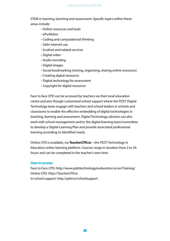STEM in learning, teaching and assessment. Specific topics within these areas include:

- Online resources and tools
- ePortfolios
- Coding and computational thinking
- Safer Internet use
- Scoilnet and related services
- Digital video
- Audio recording
- Digital images
- Social bookmarking (storing, organising, sharing online resources)
- Creating digital resources
- Digital technology for assessment
- Copyright for digital resources

Face to face CPD can be accessed by teachers via their local education centre and also though customised school support where the PDST Digital Technology team engage with teachers and school leaders in schools and classrooms to enable the effective embedding of digital technologies in teaching, learning and assessment. Digital Technology advisors can also work with school management and/or the digital learning team/committee to develop a Digital Learning Plan and provide associated professional learning according to identified needs.

Online CPD is available, via **TeacherCPD.ie**—the PDST Technology in Education online learning platform. Courses range in duration from 2 to 20 hours and can be completed in the teacher's own time.

#### **How to access:**

Face to Face CPD: http://www.pdsttechnologyineducation.ie/en/Training/ Online CPD: http://TeacherCPD.ie In-school support: http://pdst.ie/schoolsupport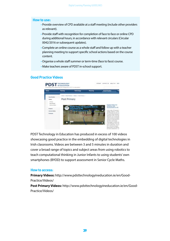#### **How to use:**

- Provide overview of CPD available at a staff meeting (include other providers as relevant).
- Provide staff with recognition for completion of face to face or online CPD during additional hours, in accordance with relevant circulars (Circular 0042/2016 or subsequent updates).
- Complete an online course as a whole staff and follow up with a teacher planning meeting to support specific school actions based on the course content.
- Organise a whole staff summer or term-time (face to face) course.
- Make teachers aware of PDST in-school support.

## **Good Practice Videos**



PDST Technology in Education has produced in excess of 100 videos showcasing good practice in the embedding of digital technologies in Irish classrooms. Videos are between 3 and 5 minutes in duration and cover a broad range of topics and subject areas from using robotics to teach computational thinking in Junior Infants to using students' own smartphones (BYOD) to support assessment in Senior Cycle Maths.

#### **How to access:**

**Primary Videos:** http://www.pdsttechnologyineducation.ie/en/Good-Practice/Videos/

**Post Primary Videos:** http://www.pdsttechnologyineducation.ie/en/Good-Practice/Videos/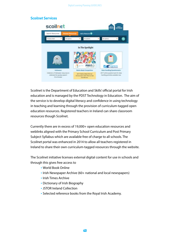## **Scoilnet Services**



Scoilnet is the Department of Education and Skills' official portal for Irish education and is managed by the PDST Technology in Education. The aim of the service is to develop digital literacy and confidence in using technology in teaching and learning through the provision of curriculum-tagged open education resources. Registered teachers in Ireland can share classroom resources though Scoilnet.

Currently there are in excess of 19,000+ open education resources and weblinks aligned with the Primary School Curriculum and Post Primary Subject Syllabus which are available free of charge to all schools. The Scoilnet portal was enhanced in 2014 to allow all teachers registered in Ireland to share their own curriculum-tagged resources through the website.

The Scoilnet initiative licenses external digital content for use in schools and through this gives free access to

- World Book Online
- Irish Newspaper Archive (60+ national and local newspapers)
- Irish Times Archive
- Dictionary of Irish Biography
- JSTOR Ireland Collection
- Selected reference books from the Royal Irish Academy.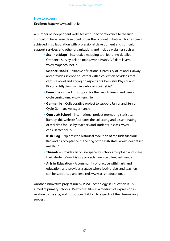#### **How to access:**

**Scoilnet:** http://www.scoilnet.ie

A number of independent websites with specific relevance to the Irish curriculum have been developed under the Scoilnet initiative. This has been achieved in collaboration with professional development and curriculum support services, and other organisations and include websites such as:

- **Scoilnet Maps** Interactive mapping tool featuring detailed Ordnance Survey Ireland maps, world maps, GIS data layers. www.maps.scoilnet.ie
- **Science Hooks** Initiative of National University of Ireland, Galway and provides science educators with a collection of videos that capture novel and engaging aspects of Chemistry, Physics and Biology. http://www.sciencehooks.scoilnet.ie/
- **French.ie** Providing support for the French Junior and Senior Cycle curriculum. www.french.ie
- **German.ie** Collaborative project to support Junior and Senior Cycle German. www.german.ie
- **CensusAtSchool** International project promoting statistical literacy, this website facilitates the collecting and disseminating of real data for use by teachers and students in class. www. censusatschool.ie/
- **Irish Flag** Explores the historical evolution of the Irish tricolour flag and its acceptance as the flag of the Irish state. www.scoilnet.ie/ irishflag/
- **Threads** Provides an online space for schools to upload and share their students' oral history projects. www.scoilnet.ie/threads
- **Arts in Education** A community of practice within arts and education, and provides a space where both artists and teachers can be supported and inspired. www.artsineducation.ie

Another innovative project run by PDST Technology in Education is FÍS – aimed at primary schools FÍS explores film as a medium of expression in relation to the arts, and introduces children to aspects of the film-making process.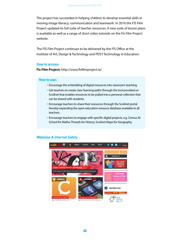The project has succeeded in helping children to develop essential skills in moving-image literacy, communication and teamwork. In 2016 the FÍS Film Project updated its full suite of teacher resources. A new suite of lesson plans is available as well as a range of short video tutorials on the Fís Film Project website.

The FÍS Film Project continues to be delivered by the FÍS Office at the Institute of Art, Design & Technology and PDST Technology in Education.

#### **How to access:**

**Fis Film Project:** http://www.fisfilmproject.ie/

## **How to use:**

- Encourage the embedding of digital resources into classroom teaching.
- Get teachers to create class 'learning paths' through the tool provided on Scoilnet that enables resources to be pulled into a personal collection that can be shared with students.
- Encourage teachers to share their resources through the Scoilnet portal thereby expanding the open education resource database available to all teachers.
- Encourage teachers to engage with specific digital projects, e.g. Census At School for Maths; Threads for History; Scoilnet Maps for Geography.

## **Webwise & Internet Safety**

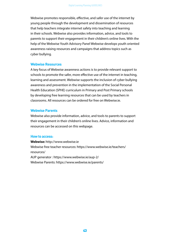Webwise promotes responsible, effective, and safer use of the internet by young people through the development and dissemination of resources that help teachers integrate internet safety into teaching and learning in their schools. Webwise also provides information, advice, and tools to parents to support their engagement in their children's online lives. With the help of the Webwise Youth Advisory Panel Webwise develops youth oriented awareness raising resources and campaigns that address topics such as cyber bullying.

#### **Webwise Resources**

A key focus of Webwise awareness actions is to provide relevant support to schools to promote the safer, more effective use of the internet in teaching, learning and assessment. Webwise supports the inclusion of cyber bullying awareness and prevention in the implementation of the Social Personal Health Education (SPHE) curriculum in Primary and Post Primary schools by developing free learning resources that can be used by teachers in classrooms. All resources can be ordered for free on Webwise.ie.

#### **Webwise Parents**

Webwise also provide information, advice, and tools to parents to support their engagement in their children's online lives. Advice, information and resources can be accessed on this webpage.

## **How to access:**

**Webwise:** http://www.webwise.ie Webwise free teacher resources: https://www.webwise.ie/teachers/ resources/ AUP generator : https://www.webwise.ie/aup-2/ Webwise Parents: https://www.webwise.ie/parents/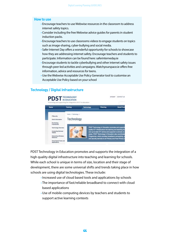#### **How to use**

- Encourage teachers to use Webwise resources in the classroom to address internet safety topics.
- Consider including the free Webwise advice guides for parents in student induction packs.
- Encourage teachers to use classrooms videos to engage students on topics such as image-sharing, cyber-bullying and social media.
- Safer Internet Day offers a wonderful opportunity for schools to showcase how they are addressing internet safety. Encourage teachers and students to participate. Information can be found here: saferinterneday.ie
- Encourage students to tackle cyberbullying and other internet safety issues through peer-led activities and campaigns. Watchyourspace.ie offers free information, advice and resources for teens.
- Use the Webwise Acceptable Use Policy Generator tool to customise an Acceptable Use Policy based on your school

## **Technology / Digital Infrastructure**



PDST Technology in Education promotes and supports the integration of a high quality digital infrastructure into teaching and learning for schools. While each school is unique in terms of size, location and their stage of development, there are some universal shifts and trends taking place in how schools are using digital technologies. These include:

- Increased use of cloud based tools and applications by schools
- The importance of fast/reliable broadband to connect with cloud based applications
- Use of mobile computing devices by teachers and students to support active learning contexts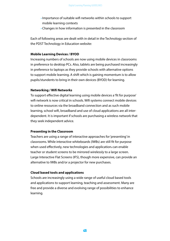- Importance of suitable wifi networks within schools to support mobile learning contexts
- Changes in how information is presented in the classroom

Each of following areas are dealt with in detail in the Technology section of the PDST Technology in Education website:

#### **Mobile Learning Devices / BYOD**

Increasing numbers of schools are now using mobile devices in classrooms in preference to desktop PCs. Also, tablets are being purchased increasingly in preference to laptops as they provide schools with alternative options to support mobile learning. A shift which is gaining momentum is to allow pupils/stundents to bring in their own devices (BYOD) for learning.

#### **Networking / Wifi Networks**

To support effective digital learning using mobile devices a 'fit for purpose' wifi network is now critical in schools. Wifi systems connect mobile devices to online resources via the broadband connection and as such mobile learning, school wifi, broadband and use of cloud applications are all interdependent. It is important if schools are purchasing a wireless network that they seek independent advice.

## **Presenting in the Classroom**

Teachers are using a range of interactive approaches for 'presenting' in classrooms. While interactive whiteboards (IWBs) are still fit for purpose when used effectively, new technologies and applications can enable teacher or student screens to be mirrored wirelessly to a large screen. Large Interactive Flat Screens (IFS), though more expensive, can provide an alternative to IWBs and/or a projector for new purchases.

#### **Cloud based tools and applications**

Schools are increasingly using a wide range of useful cloud based tools and applications to support learning, teaching and assessment. Many are free and provide a diverse and evolving range of possibilities to enhance learning.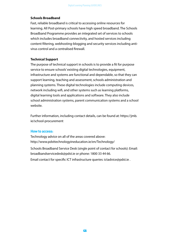## **Schools Broadband**

Fast, reliable broadband is critical to accessing online resources for learning. All Post-primary schools have high speed broadband. The Schools Broadband Programme provides an integrated set of services to schools which includes broadband connectivity, and hosted services including content filtering, webhosting-blogging and security services including antivirus control and a centralised firewall.

## **Technical Support**

The purpose of technical support in schools is to provide a fit for purpose service to ensure schools' existing digital technologies, equipment, infrastructure and systems are functional and dependable, so that they can support learning, teaching and assessment, schools administration and planning systems. These digital technologies include computing devices, network including wifi, and other systems such as learning platforms, digital learning tools and applications and software. They also include school administration systems, parent communication systems and a school website.

Further information, including contact details, can be found at: https://jmb. ie/school-procurement

#### **How to access:**

Technology advice on all of the areas covered above: http://www.pdsttechnologyineducation.ie/en/Technology/

Schools Broadband Service Desk (single point of contact for schools): Email: broadbandservicedesk@pdst.ie or phone: 1800 33 44 66.

Email contact for specific ICT infrastructure queries: ictadvice@pdst.ie .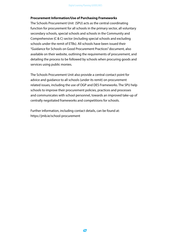#### **Procurement Information/Use of Purchasing Frameworks**

The Schools Procurement Unit (SPU) acts as the central coordinating function for procurement for all schools in the primary sector, all voluntary secondary schools, special schools and schools in the Community and Comprehensive (C & C) sector (including special schools and excluding schools under the remit of ETBs). All schools have been issued their "Guidance for Schools on Good Procurement Practices" document, also available on their website, outlining the requirements of procurement, and detailing the process to be followed by schools when procuring goods and services using public monies.

The Schools Procurement Unit also provide a central contact point for advice and guidance to all schools (under its remit) on procurement related issues, including the use of OGP and DES Frameworks. The SPU help schools to improve their procurement policies, practices and processes and communicates with school personnel, towards an improved take-up of centrally negotiated frameworks and competitions for schools.

Further information, including contact details, can be found at: https://jmb.ie/school-procurement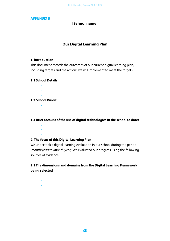## **APPENDIX B**

## **[School name]**

## **Our Digital Learning Plan**

## **1. Introduction**

This document records the outcomes of our current digital learning plan, including targets and the actions we will implement to meet the targets.

## **1.1 School Details:**

• •

## **1.2 School Vision:**

•

•

• •

**1.3 Brief account of the use of digital technologies in the school to date:**

 • • •

## **2. The focus of this Digital Learning Plan**

We undertook a digital learning evaluation in our school during the period *(month/year)* to *(month/year)*. We evaluated our progress using the following sources of evidence:

## **2.1 The dimensions and domains from the Digital Learning Framework being selected**

• • •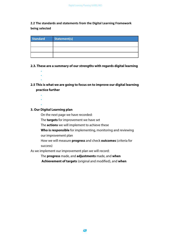## **2.2 The standards and statements from the Digital Learning Framework being selected**

| <b>Standard</b> | Statement(s) |
|-----------------|--------------|
|                 |              |
|                 |              |
|                 |              |

- **2.3. These are a summary of our strengths with regards digital learning**
- **2.5 This is what we are going to focus on to improve our digital learning practice further**
	- • •

• • •

## **3. Our Digital Learning plan**

On the next page we have recorded:

The **targets** for improvement we have set

The **actions** we will implement to achieve these

**Who is responsible** for implementing, monitoring and reviewing our improvement plan

How we will measure **progress** and check **outcomes** (criteria for success)

As we implement our improvement plan we will record:

The **progress** made, and **adjustments** made, and **when**

**Achievement of targets** (original and modified), and **when**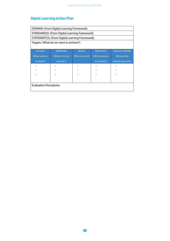# **Digital Learning Action Plan**

| DOMAIN: (From Digital Learning Framework) |                                                 |                    |                  |                         |
|-------------------------------------------|-------------------------------------------------|--------------------|------------------|-------------------------|
|                                           | STANDARD(S): (From Digital Learning Framework)  |                    |                  |                         |
|                                           | STATEMENT(S): (From Digital Learning Framework) |                    |                  |                         |
|                                           | Targets: (What do we want to achieve?)          |                    |                  |                         |
|                                           |                                                 |                    |                  |                         |
| <b>ACTIONS</b>                            | <b>TIMEFRAME</b>                                | <b>REMITS</b>      | <b>RESOURCES</b> | <b>SUCCESS CRITERIA</b> |
| (What needs to                            | (When is it to be                               | (Who is to do it?) | (What resources  | (What are the           |
| be done?)                                 | done by?)                                       |                    | are needed?)     | desired outcomes?)      |
|                                           |                                                 |                    |                  |                         |
|                                           |                                                 |                    |                  |                         |
|                                           |                                                 |                    |                  |                         |
|                                           |                                                 |                    |                  |                         |
| <b>Evaluation Procedures:</b>             |                                                 |                    |                  |                         |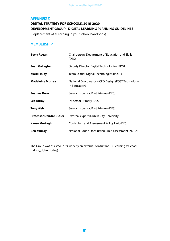## **APPENDIX C**

# **DIGITAL STRATEGY FOR SCHOOLS, 2015-2020 DEVELOPMENT GROUP - DIGITAL LEARNING PLANNING GUIDELINES**

(Replacement of eLearning in your school handbook)

## **MEMBERSHIP**

| <b>Betty Regan</b>              | Chairperson, Department of Education and Skills<br>(DES)            |
|---------------------------------|---------------------------------------------------------------------|
| Sean Gallagher                  | Deputy Director Digital Technologies (PDST)                         |
| <b>Mark Finlay</b>              | Team Leader Digital Technologies (PDST)                             |
| <b>Madeleine Murray</b>         | National Coordinator - CPD Design (PDST Technology<br>in Education) |
| <b>Seamus Knox</b>              | Senior Inspector, Post Primary (DES)                                |
| <b>Leo Kilroy</b>               | <b>Inspector Primary (DES)</b>                                      |
| <b>Tony Weir</b>                | Senior Inspector, Post Primary (DES)                                |
| <b>Professor Deirdre Butler</b> | External expert (Dublin City University)                            |
| <b>Karen Murtagh</b>            | Curriculum and Assessment Policy Unit (DES)                         |
| <b>Ben Murray</b>               | National Council for Curriculum & assessment (NCCA)                 |

The Group was assisted in its work by an external consultant H2 Learning (Michael Hallissy, John Hurley)